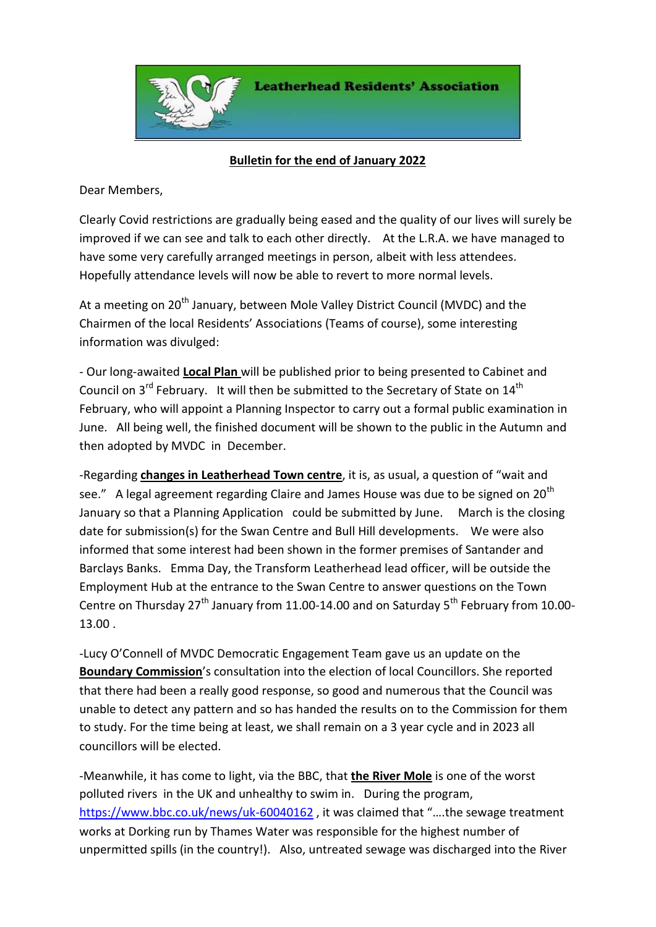

## **Bulletin for the end of January 2022**

Dear Members,

Clearly Covid restrictions are gradually being eased and the quality of our lives will surely be improved if we can see and talk to each other directly. At the L.R.A. we have managed to have some very carefully arranged meetings in person, albeit with less attendees. Hopefully attendance levels will now be able to revert to more normal levels.

At a meeting on 20<sup>th</sup> January, between Mole Valley District Council (MVDC) and the Chairmen of the local Residents' Associations (Teams of course), some interesting information was divulged:

- Our long-awaited **Local Plan** will be published prior to being presented to Cabinet and Council on  $3^{rd}$  February. It will then be submitted to the Secretary of State on  $14^{th}$ February, who will appoint a Planning Inspector to carry out a formal public examination in June. All being well, the finished document will be shown to the public in the Autumn and then adopted by MVDC in December.

-Regarding **changes in Leatherhead Town centre**, it is, as usual, a question of "wait and see." A legal agreement regarding Claire and James House was due to be signed on 20<sup>th</sup> January so that a Planning Application could be submitted by June. March is the closing date for submission(s) for the Swan Centre and Bull Hill developments. We were also informed that some interest had been shown in the former premises of Santander and Barclays Banks. Emma Day, the Transform Leatherhead lead officer, will be outside the Employment Hub at the entrance to the Swan Centre to answer questions on the Town Centre on Thursday 27<sup>th</sup> January from 11.00-14.00 and on Saturday 5<sup>th</sup> February from 10.00-13.00 .

-Lucy O'Connell of MVDC Democratic Engagement Team gave us an update on the **Boundary Commission**'s consultation into the election of local Councillors. She reported that there had been a really good response, so good and numerous that the Council was unable to detect any pattern and so has handed the results on to the Commission for them to study. For the time being at least, we shall remain on a 3 year cycle and in 2023 all councillors will be elected.

-Meanwhile, it has come to light, via the BBC, that **the River Mole** is one of the worst polluted rivers in the UK and unhealthy to swim in. During the program, <https://www.bbc.co.uk/news/uk-60040162> , it was claimed that "….the sewage treatment works at Dorking run by Thames Water was responsible for the highest number of unpermitted spills (in the country!). Also, untreated sewage was discharged into the River